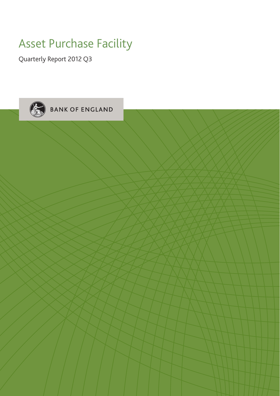# Asset Purchase Facility

Quarterly Report 2012 Q3

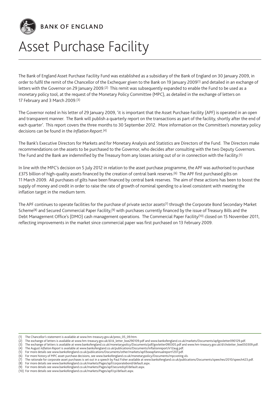

# BANK OF ENGLAND

# Asset Purchase Facility

The Bank of England Asset Purchase Facility Fund was established as a subsidiary of the Bank of England on 30 January 2009, in order to fulfil the remit of the Chancellor of the Exchequer given to the Bank on 19 January 2009(1) and detailed in an exchange of letters with the Governor on 29 January 2009.(2) This remit was subsequently expanded to enable the Fund to be used as a monetary policy tool, at the request of the Monetary Policy Committee (MPC), as detailed in the exchange of letters on 17 February and 3 March 2009.(3)

The Governor noted in his letter of 29 January 2009, 'it is important that the Asset Purchase Facility (APF) is operated in an open and transparent manner. The Bank will publish a quarterly report on the transactions as part of the facility, shortly after the end of each quarter'. This report covers the three months to 30 September 2012. More information on the Committee's monetary policy decisions can be found in the *Inflation Report*.(4)

The Bank's Executive Directors for Markets and for Monetary Analysis and Statistics are Directors of the Fund. The Directors make recommendations on the assets to be purchased to the Governor, who decides after consulting with the two Deputy Governors. The Fund and the Bank are indemnified by the Treasury from any losses arising out of or in connection with the Facility.(5)

In line with the MPC's decision on 5 July 2012 in relation to the asset purchase programme, the APF was authorised to purchase £375 billion of high-quality assets financed by the creation of central bank reserves.(6) The APF first purchased gilts on 11 March 2009. All purchases of gilts have been financed by central bank reserves. The aim of these actions has been to boost the supply of money and credit in order to raise the rate of growth of nominal spending to a level consistent with meeting the inflation target in the medium term.

The APF continues to operate facilities for the purchase of private sector assets(7) through the Corporate Bond Secondary Market Scheme<sup>(8)</sup> and Secured Commercial Paper Facility,<sup>(9)</sup> with purchases currently financed by the issue of Treasury Bills and the Debt Management Office's (DMO) cash management operations. The Commercial Paper Facility<sup>(10)</sup> closed on 15 November 2011, reflecting improvements in the market since commercial paper was first purchased on 13 February 2009.

<sup>(1)</sup> The Chancellor's statement is available at www.hm-treasury.gov.uk/press\_05\_09.htm.

<sup>(2)</sup> The exchange of letters is available at www.hm-treasury.gov.uk/d/ck\_letter\_boe290109.pdf and www.bankofengland.co.uk/markets/Documents/apfgovletter090129.pdf.

<sup>(3)</sup> The exchange of letters is available at www.bankofengland.co.uk/monetarypolicy/Documents/pdf/govletter090305.pdf and www.hm-treasury.gov.uk/d/chxletter\_boe050309.pdf.

<sup>(4)</sup> The August *Inflation Report* is available at www.bankofengland.co.uk/publications/Documents/inflationreport/ir12aug.pdf.

<sup>(5)</sup> For more details see www.bankofengland.co.uk/publications/Documents/other/markets/apf/boeapfannualreport1207.pdf. For more history of MPC asset purchase decisions, see www.bankofengland.co.uk/monetarypolicy/Documents/mpcvoting.xls.

<sup>(7)</sup> The rationale for corporate asset purchases is set out in a speech by Paul Fisher available at www.bankofengland.co.uk/publications/Documents/speeches/2010/speech423.pdf.

<sup>(8)</sup> For more details see www.bankofengland.co.uk/markets/Pages/apf/corporatebond/default.aspx.

<sup>(9)</sup> For more details see www.bankofengland.co.uk/markets/Pages/apf/securedcpf/default.aspx.

<sup>(10)</sup> For more details see www.bankofengland.co.uk/markets/Pages/apf/cp/default.aspx.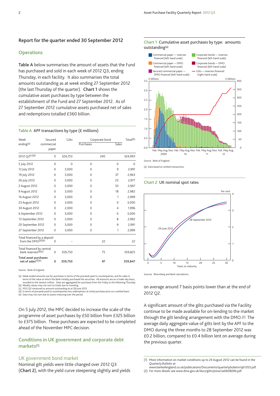### **Report for the quarter ended 30 September 2012**

#### **Operations**

**Table A** below summarises the amount of assets that the Fund has purchased and sold in each week of 2012 Q3, ending Thursday, in each facility. It also summarises the total amounts outstanding as at week ending 27 September 2012 (the last Thursday of the quarter). **Chart 1** shows the cumulative asset purchases by type between the establishment of the Fund and 27 September 2012. As of 27 September 2012 cumulative assets purchased net of sales and redemptions totalled £360 billion.

#### **Table A** APF transactions by type (£ millions)

| Week                                                   | Secured             |          | Gilts    |           | Corporate bond |          | Total <sup>(b)</sup> |
|--------------------------------------------------------|---------------------|----------|----------|-----------|----------------|----------|----------------------|
| ending <sup>(a)</sup>                                  | commercial<br>paper |          |          | Purchases |                | Sales    |                      |
| 2012 Q2(c)(d)                                          |                     | 0        | 324,753  |           | 240            |          | 324,993              |
| 5 July 2012                                            |                     | 0        | $\Omega$ | 0         |                | $\Omega$ | 0                    |
| 12 July 2012                                           |                     | $\Omega$ | 3,000    | 0         |                | 9        | 2,991                |
| 19 July 2012                                           |                     | $\Omega$ | 3,000    | 0         |                | 37       | 2,963                |
| 26 July 2012                                           |                     | $\Omega$ | 3,000    | 0         |                | 23       | 2,977                |
| 2 August 2012                                          |                     | $\Omega$ | 3,000    | 0         |                | 33       | 2,967                |
| 9 August 2012                                          |                     | $\Omega$ | 3,000    | 0         |                | 18       | 2,982                |
| 16 August 2012                                         |                     | $\Omega$ | 3,000    | 0         |                | 1        | 2,999                |
| 23 August 2012                                         |                     | $\Omega$ | 3,000    | 0         |                | $\Omega$ | 3,000                |
| 30 August 2012                                         |                     | $\Omega$ | 2,000    | 0         |                | 4        | 1,996                |
| 6 September 2012                                       |                     | $\Omega$ | 3,000    | 0         |                | 0        | 3,000                |
| 13 September 2012                                      |                     | $\Omega$ | 3,000    | 0         |                | 8        | 2,992                |
| 20 September 2012                                      |                     | $\Omega$ | 3,000    | 0         |                | 9        | 2,991                |
| 27 September 2012                                      |                     | 0        | 3,000    | 0         |                | 1        | 2,999                |
| Total financed by a deposit<br>from the $DMO^{(d)(e)}$ |                     | $\Omega$ |          |           | 22             |          | 22                   |
| Total financed by central<br>bank reserves(d)(e)       |                     | 0        | 359,750  |           | 75             |          | 359,825              |
| Total asset purchases<br>net of sales(d)(e)            |                     | 0        | 359,750  |           | 97             |          | 359,847              |

Source: Bank of England.

(a) Week-ended amounts are for purchases in terms of the proceeds paid to counterparties, and for sales in terms of the value at which the Bank initially purchased the securities. All amounts are on a trade-day basis,<br>rounded to the nearest million. Data are aggregated for purchases from the Friday to the following Thursday.<br>(b

(c) 2012 Q2 measured as amount outstanding as at 28 June 2012.<br>(d) In terms of proceeds paid to counterparties less redemptions at initial purchase price on a settled basis.<br>(e) Data may not sum due to assets maturing o

On 5 July 2012, the MPC decided to increase the scale of the programme of asset purchases by £50 billion from £325 billion to £375 billion. These purchases are expected to be completed ahead of the November MPC decision.

# **Conditions in UK government and corporate debt markets**(1)

# UK government bond market

Nominal gilt yields were little changed over 2012 Q3 (**Chart 2**), with the yield curve steepening slightly and yields



(a) Data based on settled transactions.

#### **Chart 2** UK nominal spot rates



Sources: Bloomberg and Bank calculations.

on average around 7 basis points lower than at the end of 2012 Q2.

A significant amount of the gilts purchased via the Facility continue to be made available for on-lending to the market through the gilt lending arrangement with the DMO.(2) The average daily aggregate value of gilts lent by the APF to the DMO during the three months to 28 September 2012 was £0.2 billion, compared to £0.4 billion lent on average during the previous quarter.

(2) For more details see www.dmo.gov.uk/docs/gilts/press/sa060809b.pdf.

#### **Chart 1** Cumulative asset purchases by type: amounts outstanding(a)

<sup>(1)</sup> More information on market conditions up to 24 August 2012 can be found in the *Quarterly Bulletin* at www.bankofengland.co.uk/publications/Documents/quarterlybulletin/qb1203.pdf.